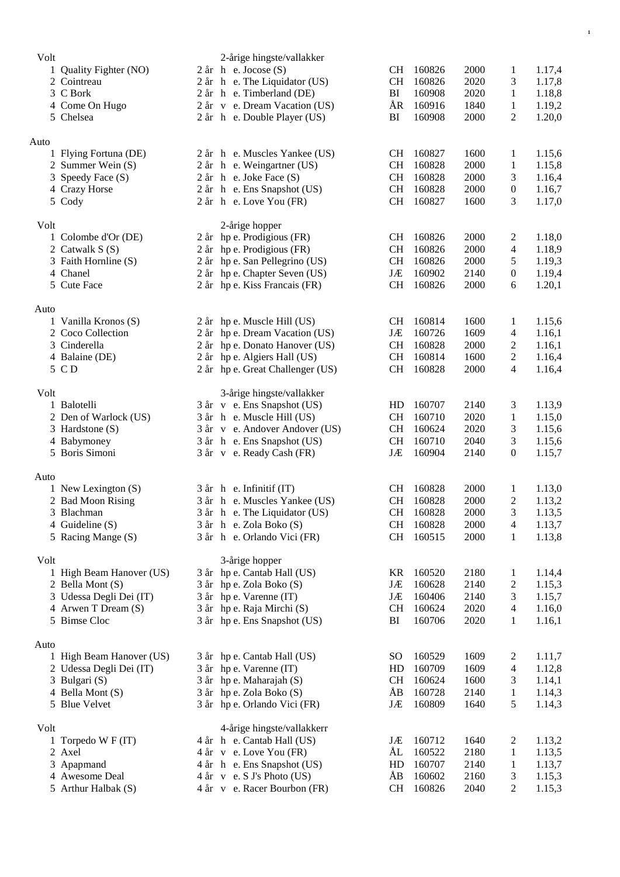| Volt |                          | 2-årige hingste/vallakker        |               |        |      |                          |        |
|------|--------------------------|----------------------------------|---------------|--------|------|--------------------------|--------|
|      | 1 Quality Fighter (NO)   | $2$ år h e. Jocose $(S)$         | CH            | 160826 | 2000 | $\mathbf{1}$             | 1.17,4 |
|      | 2 Cointreau              | 2 år h e. The Liquidator (US)    | <b>CH</b>     | 160826 | 2020 | 3                        | 1.17,8 |
|      | 3 C Bork                 | 2 år h e. Timberland (DE)        | BI            | 160908 | 2020 | $\mathbf{1}$             | 1.18,8 |
|      | 4 Come On Hugo           | 2 år v e. Dream Vacation (US)    | ÅR            | 160916 | 1840 | $\mathbf{1}$             | 1.19,2 |
|      | 5 Chelsea                | 2 år h e. Double Player (US)     | BI            | 160908 | 2000 | $\overline{c}$           | 1.20,0 |
| Auto |                          |                                  |               |        |      |                          |        |
|      | 1 Flying Fortuna (DE)    | 2 år h e. Muscles Yankee (US)    | CH            | 160827 | 1600 | 1                        | 1.15,6 |
|      | 2 Summer Wein (S)        | 2 år h e. Weingartner (US)       | <b>CH</b>     | 160828 | 2000 | $\mathbf{1}$             | 1.15,8 |
|      | 3 Speedy Face (S)        | $2$ år h e. Joke Face $(S)$      | <b>CH</b>     | 160828 | 2000 | 3                        | 1.16,4 |
|      | 4 Crazy Horse            | 2 år h e. Ens Snapshot (US)      | <b>CH</b>     | 160828 | 2000 | $\boldsymbol{0}$         | 1.16,7 |
|      | 5 Cody                   | 2 år h e. Love You (FR)          | <b>CH</b>     | 160827 | 1600 | 3                        | 1.17,0 |
| Volt |                          | 2-årige hopper                   |               |        |      |                          |        |
|      | 1 Colombe d'Or (DE)      | 2 år hp e. Prodigious (FR)       | CH            | 160826 | 2000 | 2                        | 1.18,0 |
|      | 2 Catwalk S (S)          | 2 år hp e. Prodigious (FR)       | <b>CH</b>     | 160826 | 2000 | 4                        | 1.18,9 |
|      | 3 Faith Hornline (S)     | 2 år hp e. San Pellegrino (US)   | <b>CH</b>     | 160826 | 2000 | 5                        | 1.19,3 |
|      | 4 Chanel                 | 2 år hp e. Chapter Seven (US)    | JÆ            | 160902 | 2140 | $\boldsymbol{0}$         | 1.19,4 |
|      | 5 Cute Face              | 2 år hp e. Kiss Francais (FR)    | CH            | 160826 | 2000 | 6                        | 1.20,1 |
| Auto |                          |                                  |               |        |      |                          |        |
|      | 1 Vanilla Kronos (S)     | 2 år hp e. Muscle Hill (US)      | CH            | 160814 | 1600 | 1                        | 1.15,6 |
|      | 2 Coco Collection        | 2 år hp e. Dream Vacation (US)   | JÆ            | 160726 | 1609 | 4                        | 1.16,1 |
|      | 3 Cinderella             | 2 år hp e. Donato Hanover (US)   | <b>CH</b>     | 160828 | 2000 | $\overline{c}$           | 1.16,1 |
|      | 4 Balaine (DE)           | 2 år hp e. Algiers Hall (US)     | <b>CH</b>     | 160814 | 1600 | $\overline{c}$           | 1.16,4 |
|      | 5 C D                    | 2 år hp e. Great Challenger (US) | CH            | 160828 | 2000 | 4                        | 1.16,4 |
| Volt |                          | 3-årige hingste/vallakker        |               |        |      |                          |        |
|      | 1 Balotelli              | 3 år v e. Ens Snapshot (US)      | HD            | 160707 | 2140 | 3                        | 1.13,9 |
|      | 2 Den of Warlock (US)    | 3 år h e. Muscle Hill (US)       | <b>CH</b>     | 160710 | 2020 | $\mathbf{1}$             | 1.15,0 |
|      | 3 Hardstone (S)          | 3 år v e. Andover Andover (US)   | CH            | 160624 | 2020 | 3                        | 1.15,6 |
|      | 4 Babymoney              | 3 år h e. Ens Snapshot (US)      | CH            | 160710 | 2040 | 3                        | 1.15,6 |
|      | 5 Boris Simoni           | 3 år v e. Ready Cash (FR)        | JÆ            | 160904 | 2140 | $\boldsymbol{0}$         | 1.15,7 |
| Auto |                          |                                  |               |        |      |                          |        |
|      | 1 New Lexington $(S)$    | 3 år h e. Infinitif (IT)         | <b>CH</b>     | 160828 | 2000 | 1                        | 1.13,0 |
|      | 2 Bad Moon Rising        | 3 år h e. Muscles Yankee (US)    | <b>CH</b>     | 160828 | 2000 | $\overline{c}$           | 1.13,2 |
|      | 3 Blachman               | 3 år h e. The Liquidator (US)    | <b>CH</b>     | 160828 | 2000 | 3                        | 1.13,5 |
|      | 4 Guideline (S)          | 3 år h e. Zola Boko (S)          | CH            | 160828 | 2000 | 4                        | 1.13,7 |
|      | 5 Racing Mange (S)       | 3 år h e. Orlando Vici (FR)      | CH            | 160515 | 2000 | $\mathbf{1}$             | 1.13,8 |
| Volt |                          | 3-årige hopper                   |               |        |      |                          |        |
|      | 1 High Beam Hanover (US) | 3 år hp e. Cantab Hall (US)      | KR            | 160520 | 2180 | $\mathbf{1}$             | 1.14,4 |
|      | 2 Bella Mont (S)         | 3 år hp e. Zola Boko (S)         | JÆ            | 160628 | 2140 | $\overline{c}$           | 1.15,3 |
|      | 3 Udessa Degli Dei (IT)  | 3 år hp e. Varenne (IT)          | JÆ            | 160406 | 2140 | 3                        | 1.15,7 |
|      | 4 Arwen T Dream (S)      | 3 år hp e. Raja Mirchi (S)       | CH            | 160624 | 2020 | $\overline{\mathcal{A}}$ | 1.16,0 |
|      | 5 Bimse Cloc             | 3 år hp e. Ens Snapshot (US)     | BI            | 160706 | 2020 | $\mathbf{1}$             | 1.16,1 |
| Auto |                          |                                  |               |        |      |                          |        |
|      | 1 High Beam Hanover (US) | 3 år hp e. Cantab Hall (US)      | <sub>SO</sub> | 160529 | 1609 | 2                        | 1.11,7 |
|      | 2 Udessa Degli Dei (IT)  | 3 år hp e. Varenne (IT)          | HD            | 160709 | 1609 | $\overline{\mathcal{A}}$ | 1.12,8 |
|      | 3 Bulgari (S)            | 3 år hp e. Maharajah (S)         | <b>CH</b>     | 160624 | 1600 | 3                        | 1.14,1 |
|      | 4 Bella Mont (S)         | 3 år hp e. Zola Boko (S)         | ÅB            | 160728 | 2140 | $\mathbf{1}$             | 1.14,3 |
|      | 5 Blue Velvet            | 3 år hp e. Orlando Vici (FR)     | JÆ            | 160809 | 1640 | 5                        | 1.14,3 |
| Volt |                          | 4-årige hingste/vallakkerr       |               |        |      |                          |        |
|      | 1 Torpedo W F (IT)       | 4 år h e. Cantab Hall (US)       | JÆ            | 160712 | 1640 | 2                        | 1.13,2 |
|      | 2 Axel                   | 4 år v e. Love You (FR)          | ÅL            | 160522 | 2180 | 1                        | 1.13,5 |
|      | 3 Apapmand               | 4 år h e. Ens Snapshot (US)      | HD            | 160707 | 2140 | $\mathbf{1}$             | 1.13,7 |
|      | 4 Awesome Deal           | $4$ år v e. S J's Photo (US)     | ÅB            | 160602 | 2160 | 3                        | 1.15,3 |
|      | 5 Arthur Halbak (S)      | 4 år v e. Racer Bourbon (FR)     | CH            | 160826 | 2040 | $\overline{c}$           | 1.15,3 |
|      |                          |                                  |               |        |      |                          |        |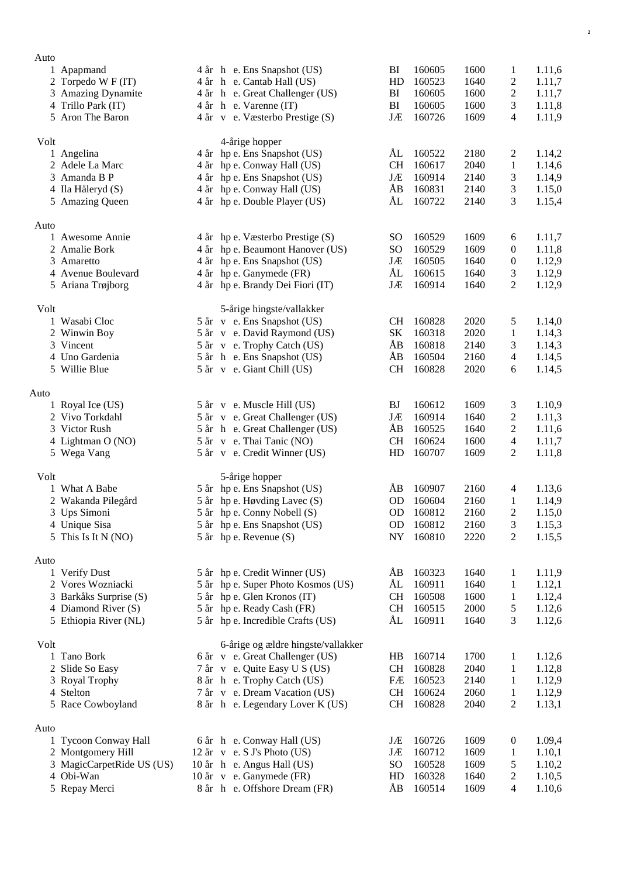| Auto |                           |                                                |               |        |      |                  |        |
|------|---------------------------|------------------------------------------------|---------------|--------|------|------------------|--------|
|      | 1 Apapmand                | 4 år h e. Ens Snapshot (US)                    | BI            | 160605 | 1600 | 1                | 1.11,6 |
|      | 2 Torpedo W F (IT)        | 4 år h e. Cantab Hall (US)                     | HD            | 160523 | 1640 | $\overline{c}$   | 1.11,7 |
|      | 3 Amazing Dynamite        | 4 år h e. Great Challenger (US)                | BI            | 160605 | 1600 | $\boldsymbol{2}$ | 1.11,7 |
|      | 4 Trillo Park (IT)        | 4 år h e. Varenne (IT)                         | BI            | 160605 | 1600 | 3                | 1.11,8 |
|      | 5 Aron The Baron          | 4 år v e. Væsterbo Prestige (S)                | JÆ            | 160726 | 1609 | $\overline{4}$   | 1.11,9 |
|      |                           |                                                |               |        |      |                  |        |
| Volt | 1 Angelina                | 4-årige hopper<br>4 år hp e. Ens Snapshot (US) | ÅL            | 160522 | 2180 | 2                | 1.14,2 |
|      | 2 Adele La Marc           | 4 år hp e. Conway Hall (US)                    | <b>CH</b>     | 160617 | 2040 | $\mathbf{1}$     | 1.14,6 |
|      | 3 Amanda B P              | 4 år hp e. Ens Snapshot (US)                   | JÆ            | 160914 | 2140 | 3                | 1.14,9 |
|      | 4 Ila Håleryd (S)         | 4 år hp e. Conway Hall (US)                    | ÅB            | 160831 | 2140 | 3                | 1.15,0 |
|      | 5 Amazing Queen           | 4 år hp e. Double Player (US)                  | ÅL            | 160722 | 2140 | 3                | 1.15,4 |
|      |                           |                                                |               |        |      |                  |        |
| Auto |                           |                                                |               |        |      |                  |        |
|      | 1 Awesome Annie           | 4 år hp e. Væsterbo Prestige (S)               | <sub>SO</sub> | 160529 | 1609 | 6                | 1.11,7 |
|      | 2 Amalie Bork             | 4 år hp e. Beaumont Hanover (US)               | <sub>SO</sub> | 160529 | 1609 | $\boldsymbol{0}$ | 1.11,8 |
|      | 3 Amaretto                | 4 år hp e. Ens Snapshot (US)                   | JÆ            | 160505 | 1640 | 0                | 1.12,9 |
|      | 4 Avenue Boulevard        | 4 år hp e. Ganymede (FR)                       | ÅL            | 160615 | 1640 | 3                | 1.12,9 |
|      | 5 Ariana Trøjborg         | 4 år hp e. Brandy Dei Fiori (IT)               | JÆ            | 160914 | 1640 | $\mathbf{2}$     | 1.12,9 |
| Volt |                           | 5-årige hingste/vallakker                      |               |        |      |                  |        |
|      | 1 Wasabi Cloc             | 5 år v e. Ens Snapshot (US)                    | <b>CH</b>     | 160828 | 2020 | 5                | 1.14,0 |
|      | 2 Winwin Boy              | 5 år v e. David Raymond (US)                   | <b>SK</b>     | 160318 | 2020 | 1                | 1.14,3 |
|      | 3 Vincent                 | 5 år v e. Trophy Catch (US)                    | ÅB            | 160818 | 2140 | 3                | 1.14,3 |
|      | 4 Uno Gardenia            | 5 år h e. Ens Snapshot (US)                    | ÅB            | 160504 | 2160 | $\overline{4}$   | 1.14,5 |
|      | 5 Willie Blue             | 5 år v e. Giant Chill (US)                     | <b>CH</b>     | 160828 | 2020 | 6                | 1.14,5 |
|      |                           |                                                |               |        |      |                  |        |
| Auto |                           |                                                |               |        |      |                  |        |
|      | 1 Royal Ice (US)          | 5 år v e. Muscle Hill (US)                     | BJ            | 160612 | 1609 | 3                | 1.10,9 |
|      | 2 Vivo Torkdahl           | 5 år v e. Great Challenger (US)                | JÆ            | 160914 | 1640 | $\boldsymbol{2}$ | 1.11,3 |
|      | 3 Victor Rush             | 5 år h e. Great Challenger (US)                | ÅB            | 160525 | 1640 | $\overline{2}$   | 1.11,6 |
|      | 4 Lightman O (NO)         | 5 år v e. Thai Tanic (NO)                      | <b>CH</b>     | 160624 | 1600 | $\overline{4}$   | 1.11,7 |
|      | 5 Wega Vang               | 5 år v e. Credit Winner (US)                   | HD            | 160707 | 1609 | 2                | 1.11,8 |
| Volt |                           | 5-årige hopper                                 |               |        |      |                  |        |
|      | 1 What A Babe             | 5 år hp e. Ens Snapshot (US)                   | ÅB            | 160907 | 2160 | $\overline{4}$   | 1.13,6 |
|      | 2 Wakanda Pilegård        | 5 år hp e. Høvding Lavec (S)                   | <b>OD</b>     | 160604 | 2160 | $\mathbf{1}$     | 1.14,9 |
|      | 3 Ups Simoni              | 5 år hp e. Conny Nobell (S)                    | <b>OD</b>     | 160812 | 2160 | $\overline{c}$   | 1.15,0 |
|      | 4 Unique Sisa             | 5 år hp e. Ens Snapshot (US)                   | OD            | 160812 | 2160 | $\mathfrak{Z}$   | 1.15,3 |
|      | 5 This Is It N (NO)       | 5 år hp e. Revenue (S)                         | ${\rm NY}$    | 160810 | 2220 | $\boldsymbol{2}$ | 1.15,5 |
| Auto |                           |                                                |               |        |      |                  |        |
|      | 1 Verify Dust             | 5 år hp e. Credit Winner (US)                  | ÅB            | 160323 | 1640 | 1                | 1.11,9 |
|      | 2 Vores Wozniacki         | 5 år hp e. Super Photo Kosmos (US)             | ÅL            | 160911 | 1640 | 1                | 1.12,1 |
|      | 3 Barkåks Surprise (S)    | 5 år hp e. Glen Kronos (IT)                    | CH            | 160508 | 1600 | 1                | 1.12,4 |
|      | 4 Diamond River (S)       | 5 år hp e. Ready Cash (FR)                     | CH            | 160515 | 2000 | 5                | 1.12,6 |
|      | 5 Ethiopia River (NL)     | 5 år hp e. Incredible Crafts (US)              | ÅL            | 160911 | 1640 | 3                | 1.12,6 |
|      |                           |                                                |               |        |      |                  |        |
| Volt |                           | 6-årige og ældre hingste/vallakker             |               |        |      |                  |        |
|      | 1 Tano Bork               | 6 år v e. Great Challenger (US)                | HB            | 160714 | 1700 | 1                | 1.12,6 |
|      | 2 Slide So Easy           | 7 år v e. Quite Easy U S (US)                  | CH            | 160828 | 2040 | 1                | 1.12,8 |
|      | 3 Royal Trophy            | 8 år h e. Trophy Catch (US)                    | FÆ            | 160523 | 2140 | 1                | 1.12,9 |
|      | 4 Stelton                 | 7 år v e. Dream Vacation (US)                  | <b>CH</b>     | 160624 | 2060 | 1                | 1.12,9 |
|      | 5 Race Cowboyland         | 8 år h e. Legendary Lover K (US)               | <b>CH</b>     | 160828 | 2040 | $\overline{2}$   | 1.13,1 |
| Auto |                           |                                                |               |        |      |                  |        |
|      | 1 Tycoon Conway Hall      | 6 år h e. Conway Hall (US)                     | JÆ            | 160726 | 1609 | $\boldsymbol{0}$ | 1.09,4 |
|      | 2 Montgomery Hill         | $12$ år v e. S J's Photo (US)                  | JÆ            | 160712 | 1609 | 1                | 1.10,1 |
|      | 3 MagicCarpetRide US (US) | 10 år h e. Angus Hall (US)                     | <sub>SO</sub> | 160528 | 1609 | 5                | 1.10,2 |
|      | 4 Obi-Wan                 | 10 år v e. Ganymede (FR)                       | HD            | 160328 | 1640 | $\overline{c}$   | 1.10,5 |
|      | 5 Repay Merci             | 8 år h e. Offshore Dream (FR)                  | ÅB            | 160514 | 1609 | $\overline{4}$   | 1.10,6 |